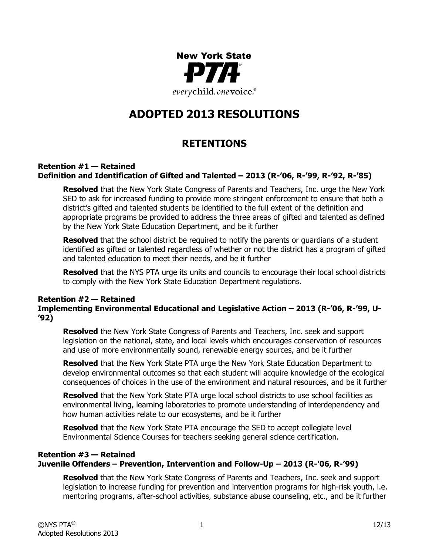

# **ADOPTED 2013 RESOLUTIONS**

# **RETENTIONS**

#### **Retention #1 — Retained Definition and Identification of Gifted and Talented – 2013 (R-'06, R-'99, R-'92, R-'85)**

**Resolved** that the New York State Congress of Parents and Teachers, Inc. urge the New York SED to ask for increased funding to provide more stringent enforcement to ensure that both a district's gifted and talented students be identified to the full extent of the definition and appropriate programs be provided to address the three areas of gifted and talented as defined by the New York State Education Department, and be it further

**Resolved** that the school district be required to notify the parents or guardians of a student identified as gifted or talented regardless of whether or not the district has a program of gifted and talented education to meet their needs, and be it further

**Resolved** that the NYS PTA urge its units and councils to encourage their local school districts to comply with the New York State Education Department regulations.

#### **Retention #2 — Retained Implementing Environmental Educational and Legislative Action – 2013 (R-'06, R-'99, U- '92)**

**Resolved** the New York State Congress of Parents and Teachers, Inc. seek and support legislation on the national, state, and local levels which encourages conservation of resources and use of more environmentally sound, renewable energy sources, and be it further

**Resolved** that the New York State PTA urge the New York State Education Department to develop environmental outcomes so that each student will acquire knowledge of the ecological consequences of choices in the use of the environment and natural resources, and be it further

**Resolved** that the New York State PTA urge local school districts to use school facilities as environmental living, learning laboratories to promote understanding of interdependency and how human activities relate to our ecosystems, and be it further

**Resolved** that the New York State PTA encourage the SED to accept collegiate level Environmental Science Courses for teachers seeking general science certification.

# **Retention #3 — Retained Juvenile Offenders – Prevention, Intervention and Follow-Up – 2013 (R-'06, R-'99)**

**Resolved** that the New York State Congress of Parents and Teachers, Inc. seek and support legislation to increase funding for prevention and intervention programs for high-risk youth, i.e. mentoring programs, after-school activities, substance abuse counseling, etc., and be it further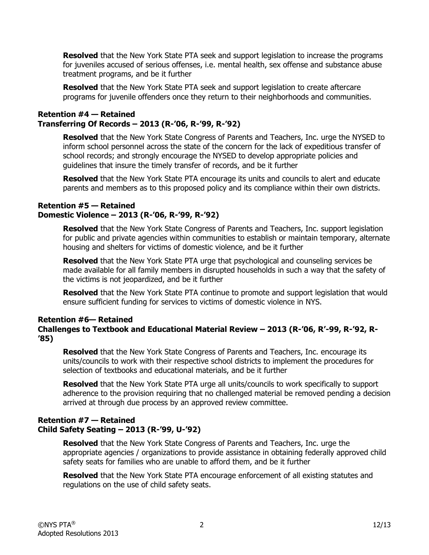**Resolved** that the New York State PTA seek and support legislation to increase the programs for juveniles accused of serious offenses, i.e. mental health, sex offense and substance abuse treatment programs, and be it further

**Resolved** that the New York State PTA seek and support legislation to create aftercare programs for juvenile offenders once they return to their neighborhoods and communities.

# **Retention #4 — Retained Transferring Of Records – 2013 (R-'06, R-'99, R-'92)**

**Resolved** that the New York State Congress of Parents and Teachers, Inc. urge the NYSED to inform school personnel across the state of the concern for the lack of expeditious transfer of school records; and strongly encourage the NYSED to develop appropriate policies and guidelines that insure the timely transfer of records, and be it further

**Resolved** that the New York State PTA encourage its units and councils to alert and educate parents and members as to this proposed policy and its compliance within their own districts.

#### **Retention #5 — Retained Domestic Violence – 2013 (R-'06, R-'99, R-'92)**

**Resolved** that the New York State Congress of Parents and Teachers, Inc. support legislation for public and private agencies within communities to establish or maintain temporary, alternate housing and shelters for victims of domestic violence, and be it further

**Resolved** that the New York State PTA urge that psychological and counseling services be made available for all family members in disrupted households in such a way that the safety of the victims is not jeopardized, and be it further

**Resolved** that the New York State PTA continue to promote and support legislation that would ensure sufficient funding for services to victims of domestic violence in NYS.

# **Retention #6— Retained**

# **Challenges to Textbook and Educational Material Review – 2013 (R-'06, R'-99, R-'92, R- '85)**

**Resolved** that the New York State Congress of Parents and Teachers, Inc. encourage its units/councils to work with their respective school districts to implement the procedures for selection of textbooks and educational materials, and be it further

**Resolved** that the New York State PTA urge all units/councils to work specifically to support adherence to the provision requiring that no challenged material be removed pending a decision arrived at through due process by an approved review committee.

# **Retention #7 — Retained Child Safety Seating – 2013 (R-'99, U-'92)**

**Resolved** that the New York State Congress of Parents and Teachers, Inc. urge the appropriate agencies / organizations to provide assistance in obtaining federally approved child safety seats for families who are unable to afford them, and be it further

**Resolved** that the New York State PTA encourage enforcement of all existing statutes and regulations on the use of child safety seats.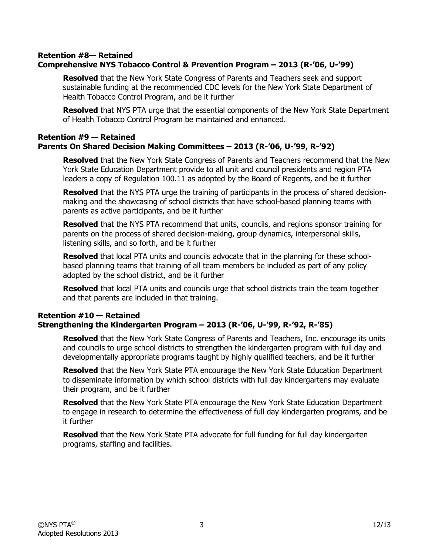#### **Retention #8— Retained Comprehensive NYS Tobacco Control & Prevention Program – 2013 (R-'06, U-'99)**

**Resolved** that the New York State Congress of Parents and Teachers seek and support sustainable funding at the recommended CDC levels for the New York State Department of Health Tobacco Control Program, and be it further

**Resolved** that NYS PTA urge that the essential components of the New York State Department of Health Tobacco Control Program be maintained and enhanced.

#### **Retention #9 — Retained Parents On Shared Decision Making Committees – 2013 (R-'06, U-'99, R-'92)**

**Resolved** that the New York State Congress of Parents and Teachers recommend that the New York State Education Department provide to all unit and council presidents and region PTA leaders a copy of Regulation 100.11 as adopted by the Board of Regents, and be it further

**Resolved** that the NYS PTA urge the training of participants in the process of shared decisionmaking and the showcasing of school districts that have school-based planning teams with parents as active participants, and be it further

**Resolved** that the NYS PTA recommend that units, councils, and regions sponsor training for parents on the process of shared decision-making, group dynamics, interpersonal skills, listening skills, and so forth, and be it further

**Resolved** that local PTA units and councils advocate that in the planning for these schoolbased planning teams that training of all team members be included as part of any policy adopted by the school district, and be it further

**Resolved** that local PTA units and councils urge that school districts train the team together and that parents are included in that training.

#### **Retention #10 — Retained Strengthening the Kindergarten Program – 2013 (R-'06, U-'99, R-'92, R-'85)**

**Resolved** that the New York State Congress of Parents and Teachers, Inc. encourage its units and councils to urge school districts to strengthen the kindergarten program with full day and developmentally appropriate programs taught by highly qualified teachers, and be it further

**Resolved** that the New York State PTA encourage the New York State Education Department to disseminate information by which school districts with full day kindergartens may evaluate their program, and be it further

**Resolved** that the New York State PTA encourage the New York State Education Department to engage in research to determine the effectiveness of full day kindergarten programs, and be it further

**Resolved** that the New York State PTA advocate for full funding for full day kindergarten programs, staffing and facilities.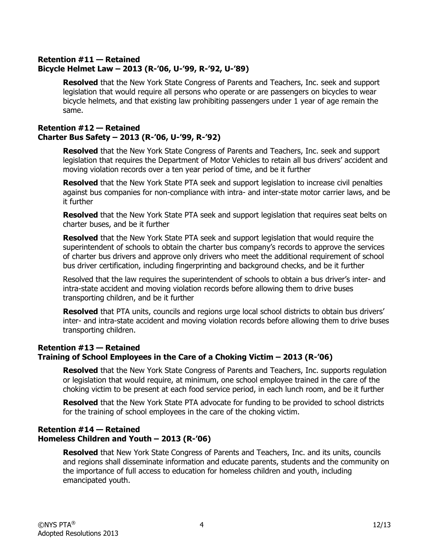# **Retention #11 — Retained Bicycle Helmet Law – 2013 (R-'06, U-'99, R-'92, U-'89)**

**Resolved** that the New York State Congress of Parents and Teachers, Inc. seek and support legislation that would require all persons who operate or are passengers on bicycles to wear bicycle helmets, and that existing law prohibiting passengers under 1 year of age remain the same.

# **Retention #12 — Retained Charter Bus Safety – 2013 (R-'06, U-'99, R-'92)**

**Resolved** that the New York State Congress of Parents and Teachers, Inc. seek and support legislation that requires the Department of Motor Vehicles to retain all bus drivers' accident and moving violation records over a ten year period of time, and be it further

**Resolved** that the New York State PTA seek and support legislation to increase civil penalties against bus companies for non-compliance with intra- and inter-state motor carrier laws, and be it further

**Resolved** that the New York State PTA seek and support legislation that requires seat belts on charter buses, and be it further

**Resolved** that the New York State PTA seek and support legislation that would require the superintendent of schools to obtain the charter bus company's records to approve the services of charter bus drivers and approve only drivers who meet the additional requirement of school bus driver certification, including fingerprinting and background checks, and be it further

Resolved that the law requires the superintendent of schools to obtain a bus driver's inter- and intra-state accident and moving violation records before allowing them to drive buses transporting children, and be it further

**Resolved** that PTA units, councils and regions urge local school districts to obtain bus drivers' inter- and intra-state accident and moving violation records before allowing them to drive buses transporting children.

# **Retention #13 — Retained Training of School Employees in the Care of a Choking Victim – 2013 (R-'06)**

**Resolved** that the New York State Congress of Parents and Teachers, Inc. supports regulation or legislation that would require, at minimum, one school employee trained in the care of the choking victim to be present at each food service period, in each lunch room, and be it further

**Resolved** that the New York State PTA advocate for funding to be provided to school districts for the training of school employees in the care of the choking victim.

# **Retention #14 — Retained Homeless Children and Youth – 2013 (R-'06)**

**Resolved** that New York State Congress of Parents and Teachers, Inc. and its units, councils and regions shall disseminate information and educate parents, students and the community on the importance of full access to education for homeless children and youth, including emancipated youth.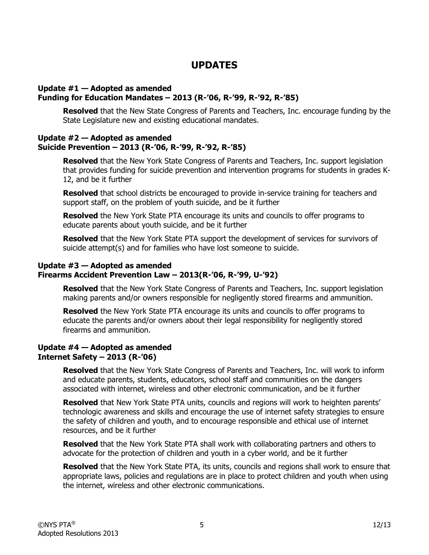# **UPDATES**

#### **Update #1 — Adopted as amended Funding for Education Mandates – 2013 (R-'06, R-'99, R-'92, R-'85)**

**Resolved** that the New State Congress of Parents and Teachers, Inc. encourage funding by the State Legislature new and existing educational mandates.

#### **Update #2 — Adopted as amended Suicide Prevention – 2013 (R-'06, R-'99, R-'92, R-'85)**

**Resolved** that the New York State Congress of Parents and Teachers, Inc. support legislation that provides funding for suicide prevention and intervention programs for students in grades K-12, and be it further

**Resolved** that school districts be encouraged to provide in-service training for teachers and support staff, on the problem of youth suicide, and be it further

**Resolved** the New York State PTA encourage its units and councils to offer programs to educate parents about youth suicide, and be it further

**Resolved** that the New York State PTA support the development of services for survivors of suicide attempt(s) and for families who have lost someone to suicide.

### **Update #3 — Adopted as amended Firearms Accident Prevention Law – 2013(R-'06, R-'99, U-'92)**

**Resolved** that the New York State Congress of Parents and Teachers, Inc. support legislation making parents and/or owners responsible for negligently stored firearms and ammunition.

**Resolved** the New York State PTA encourage its units and councils to offer programs to educate the parents and/or owners about their legal responsibility for negligently stored firearms and ammunition.

#### **Update #4 — Adopted as amended Internet Safety – 2013 (R-'06)**

**Resolved** that the New York State Congress of Parents and Teachers, Inc. will work to inform and educate parents, students, educators, school staff and communities on the dangers associated with internet, wireless and other electronic communication, and be it further

**Resolved** that New York State PTA units, councils and regions will work to heighten parents' technologic awareness and skills and encourage the use of internet safety strategies to ensure the safety of children and youth, and to encourage responsible and ethical use of internet resources, and be it further

**Resolved** that the New York State PTA shall work with collaborating partners and others to advocate for the protection of children and youth in a cyber world, and be it further

**Resolved** that the New York State PTA, its units, councils and regions shall work to ensure that appropriate laws, policies and regulations are in place to protect children and youth when using the internet, wireless and other electronic communications.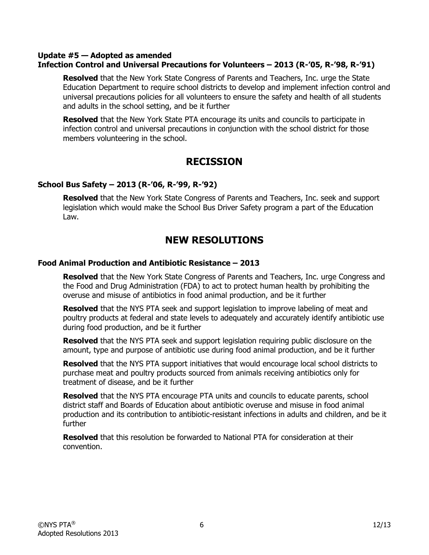#### **Update #5 — Adopted as amended Infection Control and Universal Precautions for Volunteers – 2013 (R-'05, R-'98, R-'91)**

**Resolved** that the New York State Congress of Parents and Teachers, Inc. urge the State Education Department to require school districts to develop and implement infection control and universal precautions policies for all volunteers to ensure the safety and health of all students and adults in the school setting, and be it further

**Resolved** that the New York State PTA encourage its units and councils to participate in infection control and universal precautions in conjunction with the school district for those members volunteering in the school.

# **RECISSION**

### **School Bus Safety – 2013 (R-'06, R-'99, R-'92)**

**Resolved** that the New York State Congress of Parents and Teachers, Inc. seek and support legislation which would make the School Bus Driver Safety program a part of the Education Law.

# **NEW RESOLUTIONS**

### **Food Animal Production and Antibiotic Resistance – 2013**

**Resolved** that the New York State Congress of Parents and Teachers, Inc. urge Congress and the Food and Drug Administration (FDA) to act to protect human health by prohibiting the overuse and misuse of antibiotics in food animal production, and be it further

**Resolved** that the NYS PTA seek and support legislation to improve labeling of meat and poultry products at federal and state levels to adequately and accurately identify antibiotic use during food production, and be it further

**Resolved** that the NYS PTA seek and support legislation requiring public disclosure on the amount, type and purpose of antibiotic use during food animal production, and be it further

**Resolved** that the NYS PTA support initiatives that would encourage local school districts to purchase meat and poultry products sourced from animals receiving antibiotics only for treatment of disease, and be it further

**Resolved** that the NYS PTA encourage PTA units and councils to educate parents, school district staff and Boards of Education about antibiotic overuse and misuse in food animal production and its contribution to antibiotic-resistant infections in adults and children, and be it further

**Resolved** that this resolution be forwarded to National PTA for consideration at their convention.